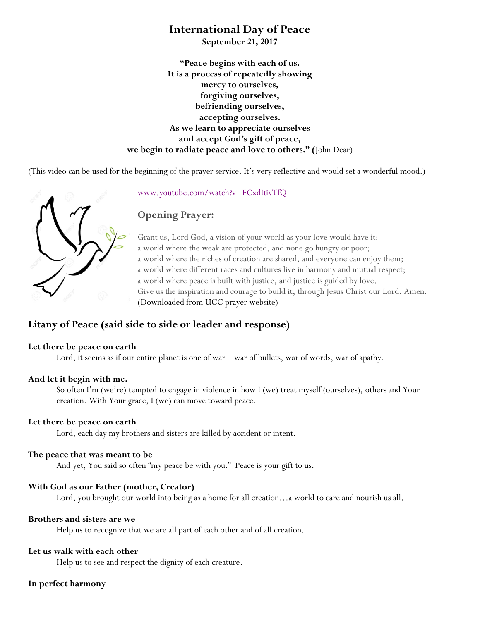# **International Day of Peace**

**September 21, 2017**

**"Peace begins with each of us. It is a process of repeatedly showing mercy to ourselves, forgiving ourselves, befriending ourselves, accepting ourselves. As we learn to appreciate ourselves and accept God's gift of peace, we begin to radiate peace and love to others." (**John Dear)

(This video can be used for the beginning of the prayer service. It's very reflective and would set a wonderful mood.)



[www.youtube.com/watch?v=FCxdItivTfQ](http://www.youtube.com/watch?v=FCxdItivTfQ%C2%A0%C2%A0) 

## **Opening Prayer:**

Grant us, Lord God, a vision of your world as your love would have it: a world where the weak are protected, and none go hungry or poor; a world where the riches of creation are shared, and everyone can enjoy them; a world where different races and cultures live in harmony and mutual respect; a world where peace is built with justice, and justice is guided by love. Give us the inspiration and courage to build it, through Jesus Christ our Lord. Amen. (Downloaded from UCC prayer website)

## **Litany of Peace (said side to side or leader and response)**

## **Let there be peace on earth**

Lord, it seems as if our entire planet is one of war – war of bullets, war of words, war of apathy.

## **And let it begin with me.**

So often I'm (we're) tempted to engage in violence in how I (we) treat myself (ourselves), others and Your creation. With Your grace, I (we) can move toward peace.

## **Let there be peace on earth**

Lord, each day my brothers and sisters are killed by accident or intent.

## **The peace that was meant to be**

And yet, You said so often "my peace be with you." Peace is your gift to us.

## **With God as our Father (mother, Creator)**

Lord, you brought our world into being as a home for all creation…a world to care and nourish us all.

## **Brothers and sisters are we**

Help us to recognize that we are all part of each other and of all creation.

## **Let us walk with each other**

Help us to see and respect the dignity of each creature.

## **In perfect harmony**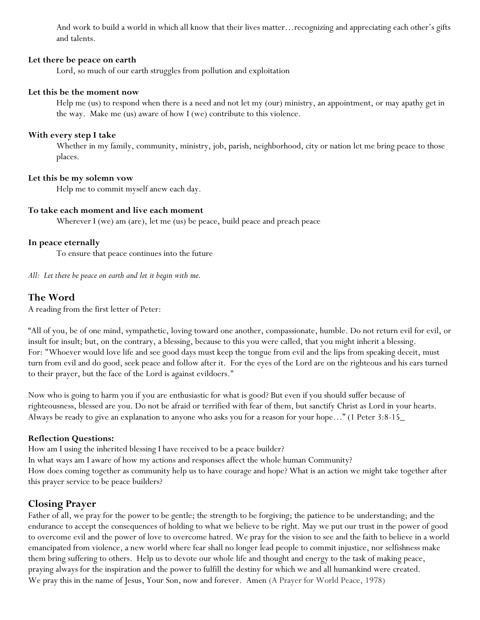And work to build a world in which all know that their lives matter…recognizing and appreciating each other's gifts and talents.

#### **Let there be peace on earth**

Lord, so much of our earth struggles from pollution and exploitation

#### **Let this be the moment now**

Help me (us) to respond when there is a need and not let my (our) ministry, an appointment, or may apathy get in the way. Make me (us) aware of how I (we) contribute to this violence.

### **With every step I take**

Whether in my family, community, ministry, job, parish, neighborhood, city or nation let me bring peace to those places.

#### **Let this be my solemn vow**

Help me to commit myself anew each day.

#### **To take each moment and live each moment**

Wherever I (we) am (are), let me (us) be peace, build peace and preach peace

## **In peace eternally**

To ensure that peace continues into the future

*All: Let there be peace on earth and let it begin with me.* 

## **The Word**

A reading from the first letter of Peter:

"All of you, be of one mind, sympathetic, loving toward one another, compassionate, humble. Do not return evil for evil, or insult for insult; but, on the contrary, a blessing, because to this you were called, that you might inherit a blessing. For: "Whoever would love life and see good days must keep the tongue from evil and the lips from speaking deceit, must turn from evil and do good, seek peace and follow after it. For the eyes of the Lord are on the righteous and his ears turned to their prayer, but the face of the Lord is against evildoers."

Now who is going to harm you if you are enthusiastic for what is good? But even if you should suffer because of righteousness, blessed are you. Do not be afraid or terrified with fear of them, but sanctify Christ as Lord in your hearts. Always be ready to give an explanation to anyone who asks you for a reason for your hope…" (1 Peter 3:8-15\_

#### **Reflection Questions:**

How am I using the inherited blessing I have received to be a peace builder? In what ways am I aware of how my actions and responses affect the whole human Community? How does coming together as community help us to have courage and hope? What is an action we might take together after this prayer service to be peace builders?

## **Closing Prayer**

Father of all, we pray for the power to be gentle; the [strength](http://www.catholic.org/prayers/prayer.php?p=2917) to be forgiving; the patience to be understanding; and the endurance to accept the consequences of holding to what we believe to be right. May we put our trust in the power of [good](http://www.catholic.org/encyclopedia/view.php?id=5257) to overcome [evil](http://www.catholic.org/encyclopedia/view.php?id=4469) and the power of love to overcome hatred. We pray for the vision to see and the [faith](http://www.catholic.org/encyclopedia/view.php?id=4554) to believe in a world emancipated from violence, a new world where fear shall no longer lead people to commit injustice, nor selfishness make them bring suffering to others. Help us to devote our whole [life](http://www.catholic.org/encyclopedia/view.php?id=7101) and thought and energy to the task of making peace, praying always for the [inspiration](http://www.catholic.org/bookstore/?category=10) and the power to fulfill the destiny for which we and all humankind were created. We pray this in the name of Jesus, Your Son, now and forever. Amen (A Prayer for World Peace, 1978)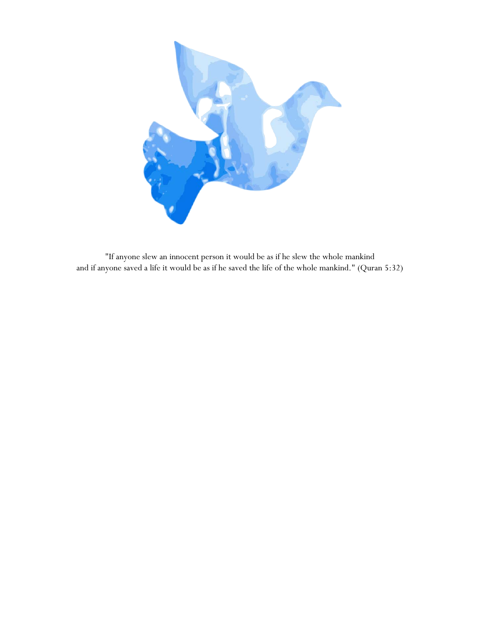

"If anyone slew an innocent person it would be as if he slew the whole mankind and if anyone saved a life it would be as if he saved the life of the whole mankind." (Quran 5:32)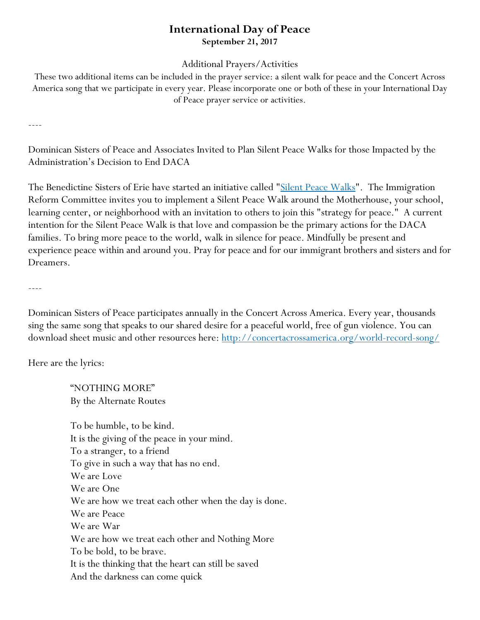## **International Day of Peace September 21, 2017**

## Additional Prayers/Activities

These two additional items can be included in the prayer service: a silent walk for peace and the Concert Across America song that we participate in every year. Please incorporate one or both of these in your International Day of Peace prayer service or activities.

----

Dominican Sisters of Peace and Associates Invited to Plan Silent Peace Walks for those Impacted by the Administration's Decision to End DACA

The Benedictine Sisters of Erie have started an initiative called ["Silent Peace Walks"](https://www.eriebenedictines.org/bfp). The Immigration Reform Committee invites you to implement a Silent Peace Walk around the Motherhouse, your school, learning center, or neighborhood with an invitation to others to join this "strategy for peace." A current intention for the Silent Peace Walk is that love and compassion be the primary actions for the DACA families. To bring more peace to the world, walk in silence for peace. Mindfully be present and experience peace within and around you. Pray for peace and for our immigrant brothers and sisters and for Dreamers.

----

Dominican Sisters of Peace participates annually in the Concert Across America. Every year, thousands sing the same song that speaks to our shared desire for a peaceful world, free of gun violence. You can download sheet music and other resources here:<http://concertacrossamerica.org/world-record-song/>

Here are the lyrics:

"NOTHING MORE" By the Alternate Routes

To be humble, to be kind. It is the giving of the peace in your mind. To a stranger, to a friend To give in such a way that has no end. We are Love We are One We are how we treat each other when the day is done. We are Peace We are War We are how we treat each other and Nothing More To be bold, to be brave. It is the thinking that the heart can still be saved And the darkness can come quick